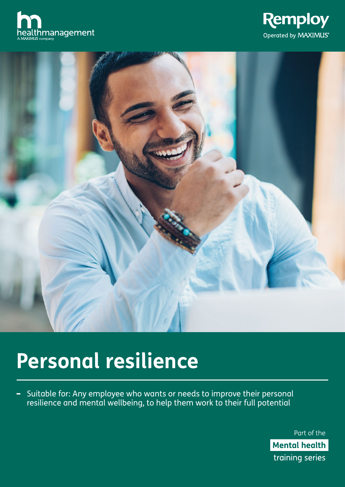





# **Personal resilience**

- Suitable for: Any employee who wants or needs to improve their personal resilience and mental wellbeing, to help them work to their full potential

> Part of the **Mental health** training series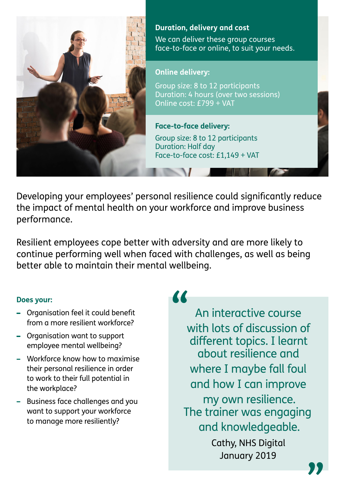

# **Duration, delivery and cost**

We can deliver these group courses face-to-face or online, to suit your needs.

# **Online delivery:**

Group size: 8 to 12 participants Duration: 4 hours (over two sessions) Online cost: £799 + VAT

**Face-to-face delivery:**  Group size: 8 to 12 participants Duration: Half day Face-to-face cost: £1,149 + VAT

Developing your employees' personal resilience could significantly reduce the impact of mental health on your workforce and improve business performance.

Resilient employees cope better with adversity and are more likely to continue performing well when faced with challenges, as well as being better able to maintain their mental wellbeing.

# **Does your:**

- Organisation feel it could benefit from a more resilient workforce?
- Organisation want to support employee mental wellbeing?
- Workforce know how to maximise their personal resilience in order to work to their full potential in the workplace?
- Business face challenges and you want to support your workforce to manage more resiliently?

**"**

An interactive course with lots of discussion of different topics. I learnt about resilience and where I maybe fall foul and how I can improve my own resilience. The trainer was engaging and knowledgeable.

Cathy, NHS Digital January 2019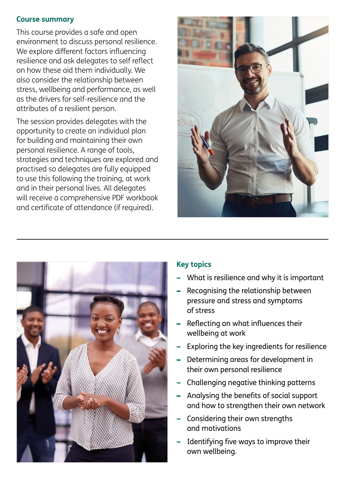#### **Course summary**

This course provides a safe and open environment to discuss personal resilience. We explore different factors influencing resilience and ask delegates to self reflect on how these aid them individually. We also consider the relationship between stress, wellbeing and performance, as well as the drivers for self-resilience and the attributes of a resilient person.

The session provides delegates with the opportunity to create an individual plan for building and maintaining their own personal resilience. A range of tools, strategies and techniques are explored and practised so delegates are fully equipped to use this following the training, at work and in their personal lives. All delegates will receive a comprehensive PDF workbook and certificate of attendance (if required).





#### **Key topics**

- What is resilience and why it is important
- Recognising the relationship between pressure and stress and symptoms of stress
- Reflecting on what influences their wellbeing at work
- Exploring the key ingredients for resilience
- Determining areas for development in their own personal resilience
- Challenging negative thinking patterns
- Analysing the benefits of social support and how to strengthen their own network
- Considering their own strengths and motivations
- Identifying five ways to improve their own wellbeing.